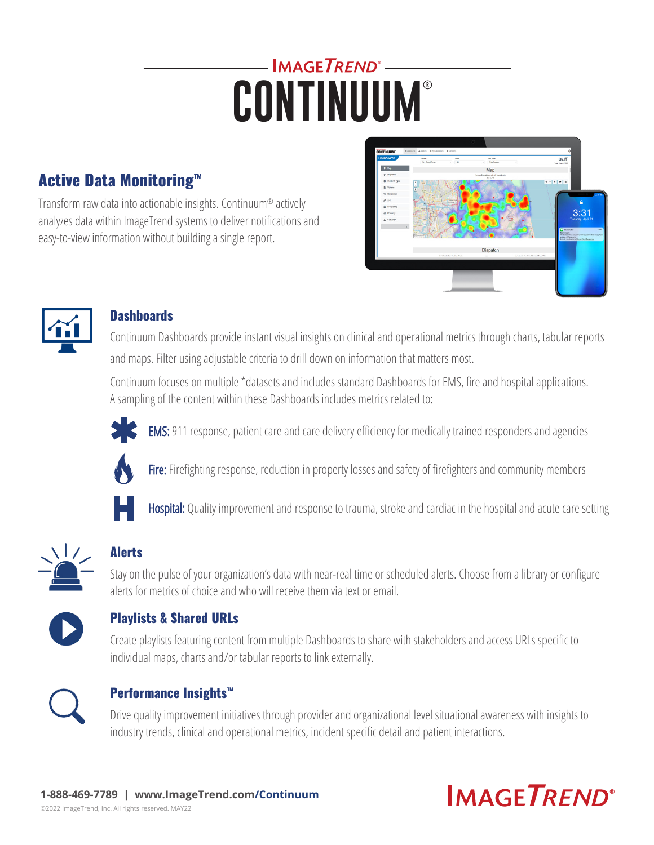# IMAGETREND<sup>®</sup>-**CONTINUUM**®

## Active Data Monitoring™

Transform raw data into actionable insights. Continuum® actively analyzes data within ImageTrend systems to deliver notifications and easy-to-view information without building a single report.





#### **Dashboards**

Continuum Dashboards provide instant visual insights on clinical and operational metrics through charts, tabular reports and maps. Filter using adjustable criteria to drill down on information that matters most.

Continuum focuses on multiple \*datasets and includes standard Dashboards for EMS, fire and hospital applications. A sampling of the content within these Dashboards includes metrics related to:



EMS: 911 response, patient care and care delivery efficiency for medically trained responders and agencies



Fire: Firefighting response, reduction in property losses and safety of firefighters and community members



Hospital: Quality improvement and response to trauma, stroke and cardiac in the hospital and acute care setting



## Alerts

Stay on the pulse of your organization's data with near-real time or scheduled alerts. Choose from a library or configure alerts for metrics of choice and who will receive them via text or email.



## Playlists & Shared URLs

Create playlists featuring content from multiple Dashboards to share with stakeholders and access URLs specific to individual maps, charts and/or tabular reports to link externally.



#### Performance Insights™

Drive quality improvement initiatives through provider and organizational level situational awareness with insights to industry trends, clinical and operational metrics, incident specific detail and patient interactions.